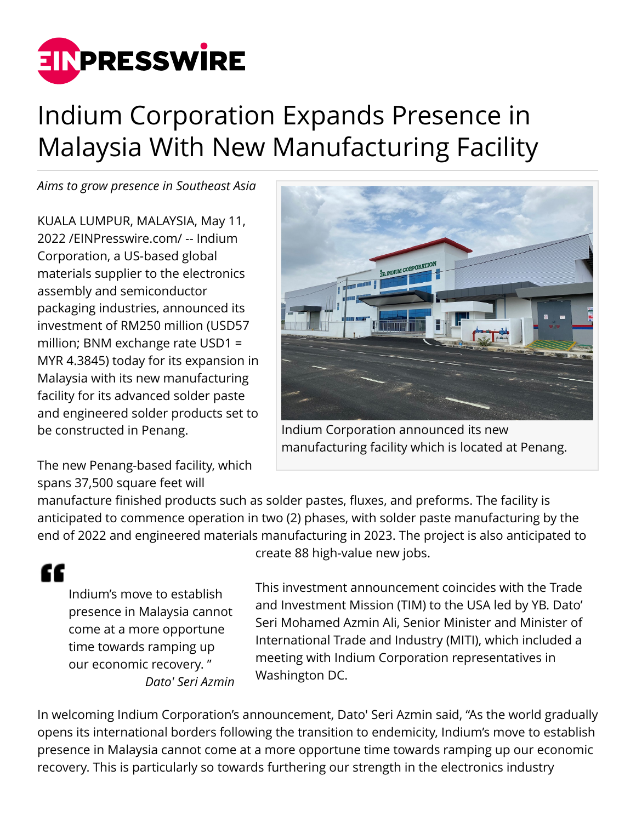

## Indium Corporation Expands Presence in Malaysia With New Manufacturing Facility

*Aims to grow presence in Southeast Asia*

KUALA LUMPUR, MALAYSIA, May 11, 2022 /[EINPresswire.com](http://www.einpresswire.com)/ -- Indium Corporation, a US-based global materials supplier to the electronics assembly and semiconductor packaging industries, announced its investment of RM250 million (USD57 million; BNM exchange rate USD1 = MYR 4.3845) today for its expansion in Malaysia with its new manufacturing facility for its advanced solder paste and engineered solder products set to be constructed in Penang.

The new Penang-based facility, which spans 37,500 square feet will



Indium Corporation announced its new manufacturing facility which is located at Penang.

manufacture finished products such as solder pastes, fluxes, and preforms. The facility is anticipated to commence operation in two (2) phases, with solder paste manufacturing by the end of 2022 and engineered materials manufacturing in 2023. The project is also anticipated to

Indium's move to establish presence in Malaysia cannot come at a more opportune time towards ramping up our economic recovery. " *Dato' Seri Azmin*

"

create 88 high-value new jobs.

This investment announcement coincides with the Trade and Investment Mission (TIM) to the USA led by YB. Dato' Seri Mohamed Azmin Ali, Senior Minister and Minister of International Trade and Industry (MITI), which included a meeting with Indium Corporation representatives in Washington DC.

In welcoming Indium Corporation's announcement, Dato' Seri Azmin said, "As the world gradually opens its international borders following the transition to endemicity, Indium's move to establish presence in Malaysia cannot come at a more opportune time towards ramping up our economic recovery. This is particularly so towards furthering our strength in the electronics industry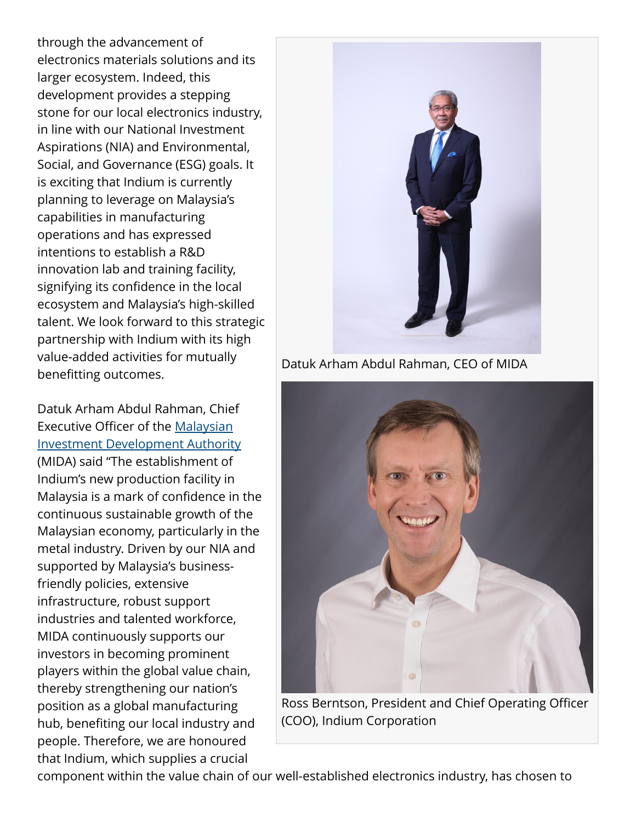through the advancement of electronics materials solutions and its larger ecosystem. Indeed, this development provides a stepping stone for our local electronics industry, in line with our National Investment Aspirations (NIA) and Environmental, Social, and Governance (ESG) goals. It is exciting that Indium is currently planning to leverage on Malaysia's capabilities in manufacturing operations and has expressed intentions to establish a R&D innovation lab and training facility, signifying its confidence in the local ecosystem and Malaysia's high-skilled talent. We look forward to this strategic partnership with Indium with its high value-added activities for mutually benefitting outcomes.

Datuk Arham Abdul Rahman, Chief Executive Officer of the [Malaysian](http://www.mida.gov.my/) [Investment Development Authority](http://www.mida.gov.my/) (MIDA) said "The establishment of Indium's new production facility in Malaysia is a mark of confidence in the continuous sustainable growth of the Malaysian economy, particularly in the metal industry. Driven by our NIA and supported by Malaysia's businessfriendly policies, extensive infrastructure, robust support industries and talented workforce, MIDA continuously supports our investors in becoming prominent players within the global value chain, thereby strengthening our nation's position as a global manufacturing hub, benefiting our local industry and people. Therefore, we are honoured that Indium, which supplies a crucial



Datuk Arham Abdul Rahman, CEO of MIDA



Ross Berntson, President and Chief Operating Officer (COO), Indium Corporation

component within the value chain of our well-established electronics industry, has chosen to